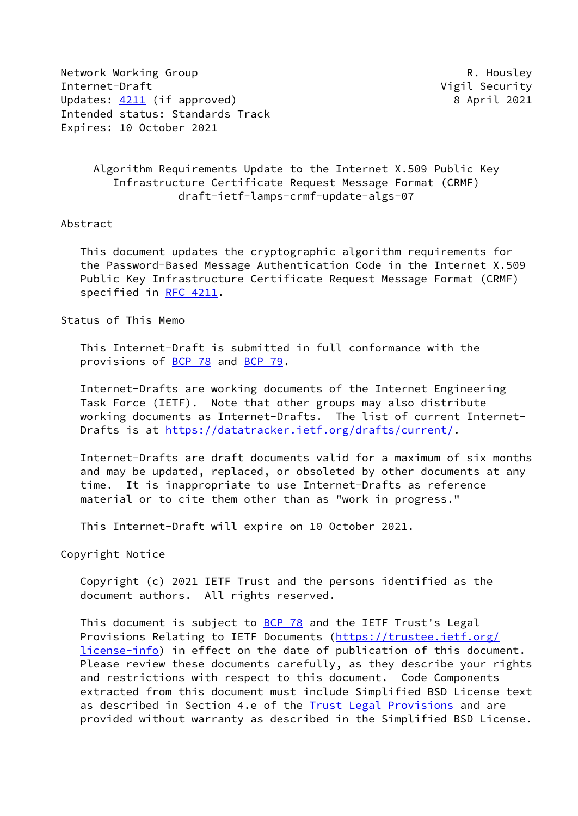Network Working Group **R. Housley** Internet-Draft Vigil Security Updates: [4211](https://datatracker.ietf.org/doc/pdf/rfc4211) (if approved) 8 April 2021 Intended status: Standards Track Expires: 10 October 2021

 Algorithm Requirements Update to the Internet X.509 Public Key Infrastructure Certificate Request Message Format (CRMF) draft-ietf-lamps-crmf-update-algs-07

#### Abstract

 This document updates the cryptographic algorithm requirements for the Password-Based Message Authentication Code in the Internet X.509 Public Key Infrastructure Certificate Request Message Format (CRMF) specified in [RFC 4211](https://datatracker.ietf.org/doc/pdf/rfc4211).

Status of This Memo

 This Internet-Draft is submitted in full conformance with the provisions of [BCP 78](https://datatracker.ietf.org/doc/pdf/bcp78) and [BCP 79](https://datatracker.ietf.org/doc/pdf/bcp79).

 Internet-Drafts are working documents of the Internet Engineering Task Force (IETF). Note that other groups may also distribute working documents as Internet-Drafts. The list of current Internet- Drafts is at<https://datatracker.ietf.org/drafts/current/>.

 Internet-Drafts are draft documents valid for a maximum of six months and may be updated, replaced, or obsoleted by other documents at any time. It is inappropriate to use Internet-Drafts as reference material or to cite them other than as "work in progress."

This Internet-Draft will expire on 10 October 2021.

Copyright Notice

 Copyright (c) 2021 IETF Trust and the persons identified as the document authors. All rights reserved.

This document is subject to [BCP 78](https://datatracker.ietf.org/doc/pdf/bcp78) and the IETF Trust's Legal Provisions Relating to IETF Documents ([https://trustee.ietf.org/](https://trustee.ietf.org/license-info) [license-info](https://trustee.ietf.org/license-info)) in effect on the date of publication of this document. Please review these documents carefully, as they describe your rights and restrictions with respect to this document. Code Components extracted from this document must include Simplified BSD License text as described in Section 4.e of the **[Trust Legal Provisions](https://trustee.ietf.org/license-info)** and are provided without warranty as described in the Simplified BSD License.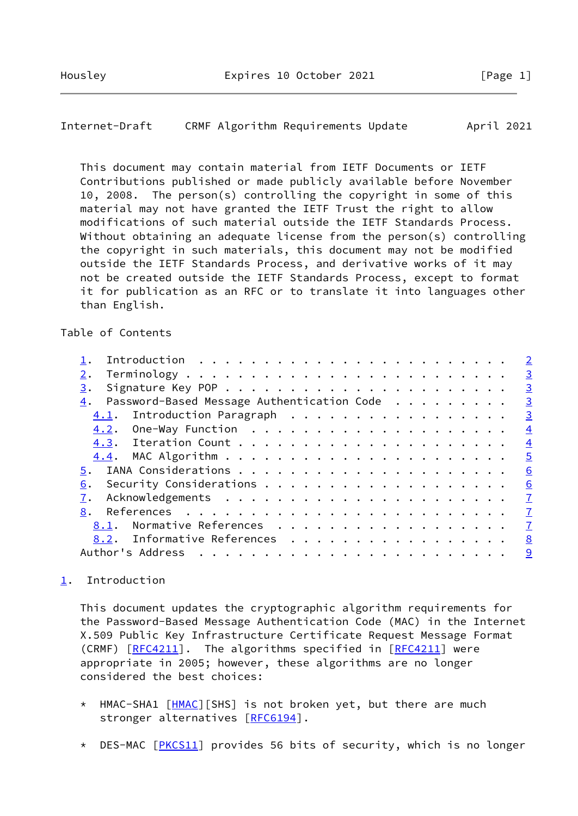## <span id="page-1-1"></span>Internet-Draft CRMF Algorithm Requirements Update April 2021

 This document may contain material from IETF Documents or IETF Contributions published or made publicly available before November 10, 2008. The person(s) controlling the copyright in some of this material may not have granted the IETF Trust the right to allow modifications of such material outside the IETF Standards Process. Without obtaining an adequate license from the person(s) controlling the copyright in such materials, this document may not be modified outside the IETF Standards Process, and derivative works of it may not be created outside the IETF Standards Process, except to format it for publication as an RFC or to translate it into languages other than English.

## Table of Contents

|                                                              | $\overline{\phantom{0}}^2$ |
|--------------------------------------------------------------|----------------------------|
| 2.                                                           | $\overline{\mathbf{3}}$    |
| 3.                                                           | $\overline{3}$             |
| $\underline{4}$ . Password-Based Message Authentication Code | $\overline{\mathbf{3}}$    |
| 4.1. Introduction Paragraph                                  | $\overline{3}$             |
|                                                              | $\overline{4}$             |
|                                                              | $\overline{4}$             |
|                                                              | $\overline{5}$             |
|                                                              | 6                          |
| 6.                                                           | 6                          |
|                                                              | $\overline{1}$             |
| 8.                                                           | $\overline{1}$             |
| Normative References<br>8.1.                                 | $\mathbf{I}$               |
| 8.2. Informative References                                  | 8                          |
| Author's Address                                             | 9                          |
|                                                              |                            |

# <span id="page-1-0"></span>[1](#page-1-0). Introduction

 This document updates the cryptographic algorithm requirements for the Password-Based Message Authentication Code (MAC) in the Internet X.509 Public Key Infrastructure Certificate Request Message Format (CRMF) [\[RFC4211](https://datatracker.ietf.org/doc/pdf/rfc4211)]. The algorithms specified in [RFC4211] were appropriate in 2005; however, these algorithms are no longer considered the best choices:

- \* HMAC-SHA1 [\[HMAC](#page-7-4)][SHS] is not broken yet, but there are much stronger alternatives [\[RFC6194](https://datatracker.ietf.org/doc/pdf/rfc6194)].
- \* DES-MAC [[PKCS11](#page-9-1)] provides 56 bits of security, which is no longer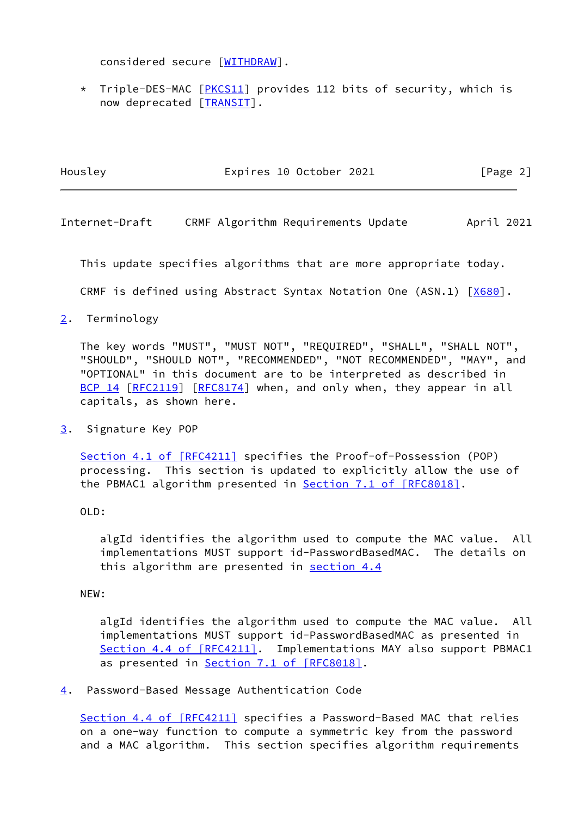considered secure [\[WITHDRAW](#page-9-2)].

 \* Triple-DES-MAC [[PKCS11](#page-9-1)] provides 112 bits of security, which is now deprecated [[TRANSIT](#page-9-3)].

| Housley | Expires 10 October 2021 | [Page 2] |
|---------|-------------------------|----------|
|         |                         |          |

<span id="page-2-1"></span>Internet-Draft CRMF Algorithm Requirements Update April 2021

This update specifies algorithms that are more appropriate today.

CRMF is defined using Abstract Syntax Notation One (ASN.1) [[X680\]](#page-8-1).

<span id="page-2-0"></span>[2](#page-2-0). Terminology

 The key words "MUST", "MUST NOT", "REQUIRED", "SHALL", "SHALL NOT", "SHOULD", "SHOULD NOT", "RECOMMENDED", "NOT RECOMMENDED", "MAY", and "OPTIONAL" in this document are to be interpreted as described in [BCP 14](https://datatracker.ietf.org/doc/pdf/bcp14) [\[RFC2119](https://datatracker.ietf.org/doc/pdf/rfc2119)] [\[RFC8174](https://datatracker.ietf.org/doc/pdf/rfc8174)] when, and only when, they appear in all capitals, as shown here.

<span id="page-2-2"></span>[3](#page-2-2). Signature Key POP

 Section [4.1 of \[RFC4211\]](https://datatracker.ietf.org/doc/pdf/rfc4211#section-4.1) specifies the Proof-of-Possession (POP) processing. This section is updated to explicitly allow the use of the PBMAC1 algorithm presented in **Section [7.1 of \[RFC8018\]](https://datatracker.ietf.org/doc/pdf/rfc8018#section-7.1)**.

OLD:

 algId identifies the algorithm used to compute the MAC value. All implementations MUST support id-PasswordBasedMAC. The details on this algorithm are presented in [section 4.4](#page-4-1)

NEW:

 algId identifies the algorithm used to compute the MAC value. All implementations MUST support id-PasswordBasedMAC as presented in Section [4.4 of \[RFC4211\].](https://datatracker.ietf.org/doc/pdf/rfc4211#section-4.4) Implementations MAY also support PBMAC1 as presented in Section [7.1 of \[RFC8018\].](https://datatracker.ietf.org/doc/pdf/rfc8018#section-7.1)

<span id="page-2-3"></span>[4](#page-2-3). Password-Based Message Authentication Code

Section [4.4 of \[RFC4211\]](https://datatracker.ietf.org/doc/pdf/rfc4211#section-4.4) specifies a Password-Based MAC that relies on a one-way function to compute a symmetric key from the password and a MAC algorithm. This section specifies algorithm requirements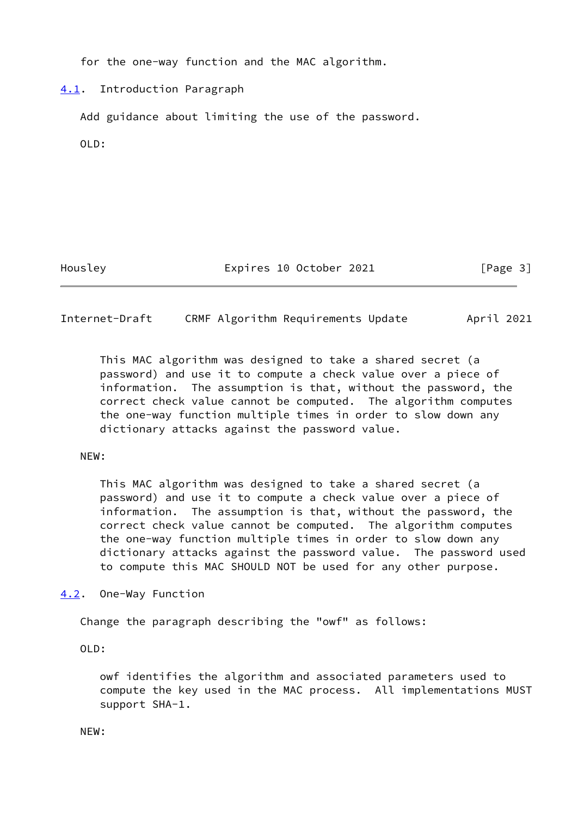for the one-way function and the MAC algorithm.

# <span id="page-3-0"></span>[4.1](#page-3-0). Introduction Paragraph

Add guidance about limiting the use of the password.

OLD:

Housley **Expires 10 October 2021** [Page 3]

<span id="page-3-2"></span>Internet-Draft CRMF Algorithm Requirements Update April 2021

 This MAC algorithm was designed to take a shared secret (a password) and use it to compute a check value over a piece of information. The assumption is that, without the password, the correct check value cannot be computed. The algorithm computes the one-way function multiple times in order to slow down any dictionary attacks against the password value.

## NEW:

 This MAC algorithm was designed to take a shared secret (a password) and use it to compute a check value over a piece of information. The assumption is that, without the password, the correct check value cannot be computed. The algorithm computes the one-way function multiple times in order to slow down any dictionary attacks against the password value. The password used to compute this MAC SHOULD NOT be used for any other purpose.

<span id="page-3-1"></span>[4.2](#page-3-1). One-Way Function

Change the paragraph describing the "owf" as follows:

OLD:

 owf identifies the algorithm and associated parameters used to compute the key used in the MAC process. All implementations MUST support SHA-1.

NEW: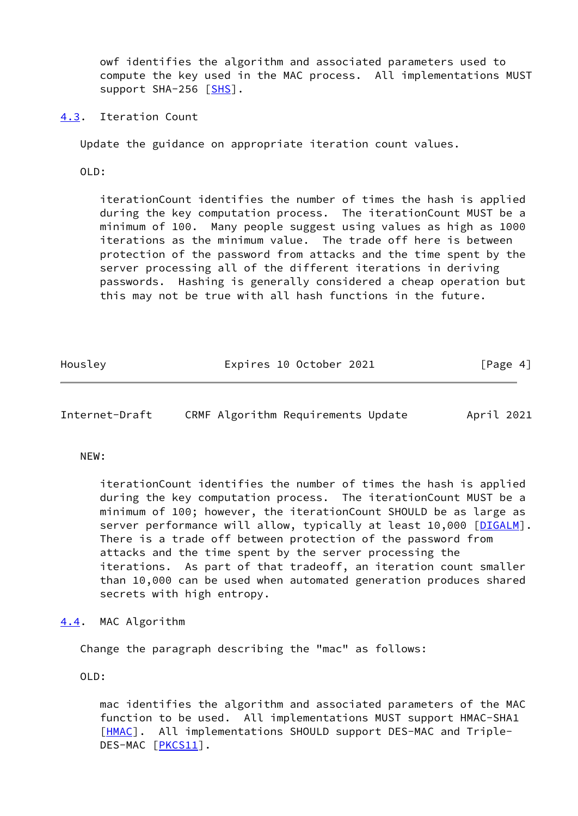owf identifies the algorithm and associated parameters used to compute the key used in the MAC process. All implementations MUST support SHA-256 [[SHS\]](#page-8-2).

<span id="page-4-0"></span>[4.3](#page-4-0). Iteration Count

Update the guidance on appropriate iteration count values.

OLD:

 iterationCount identifies the number of times the hash is applied during the key computation process. The iterationCount MUST be a minimum of 100. Many people suggest using values as high as 1000 iterations as the minimum value. The trade off here is between protection of the password from attacks and the time spent by the server processing all of the different iterations in deriving passwords. Hashing is generally considered a cheap operation but this may not be true with all hash functions in the future.

Housley **Expires 10 October 2021** [Page 4]

<span id="page-4-2"></span>Internet-Draft CRMF Algorithm Requirements Update April 2021

### NEW:

 iterationCount identifies the number of times the hash is applied during the key computation process. The iterationCount MUST be a minimum of 100; however, the iterationCount SHOULD be as large as server performance will allow, typically at least 10,000 [\[DIGALM](#page-8-3)]. There is a trade off between protection of the password from attacks and the time spent by the server processing the iterations. As part of that tradeoff, an iteration count smaller than 10,000 can be used when automated generation produces shared secrets with high entropy.

<span id="page-4-1"></span>[4.4](#page-4-1). MAC Algorithm

Change the paragraph describing the "mac" as follows:

OLD:

 mac identifies the algorithm and associated parameters of the MAC function to be used. All implementations MUST support HMAC-SHA1 [[HMAC\]](#page-7-4). All implementations SHOULD support DES-MAC and Triple-DES-MAC [[PKCS11](#page-9-1)].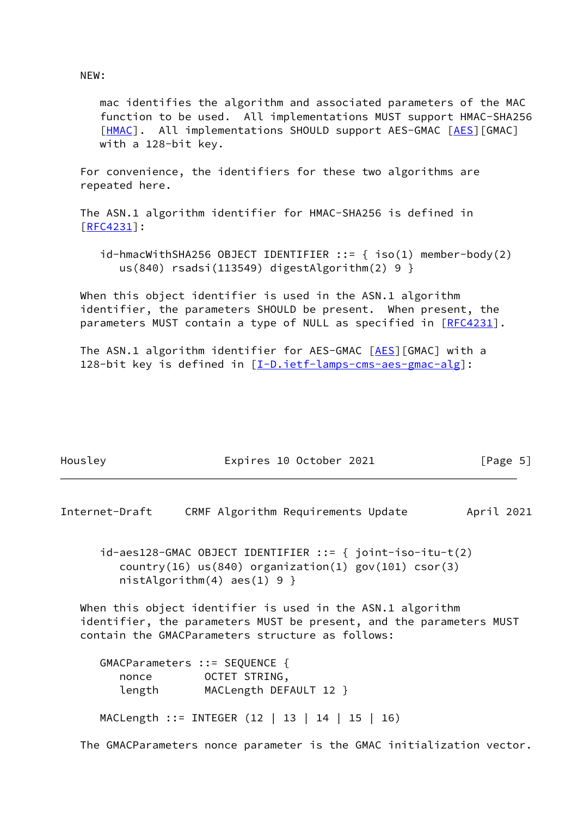NEW:

 mac identifies the algorithm and associated parameters of the MAC function to be used. All implementations MUST support HMAC-SHA256 [[HMAC\]](#page-7-4). All implementations SHOULD support AES-GMAC [\[AES](#page-7-5)][GMAC] with a 128-bit key.

 For convenience, the identifiers for these two algorithms are repeated here.

 The ASN.1 algorithm identifier for HMAC-SHA256 is defined in [\[RFC4231](https://datatracker.ietf.org/doc/pdf/rfc4231)]:

 $id$ -hmacWithSHA256 OBJECT IDENTIFIER ::= { iso(1) member-body(2) us(840) rsadsi(113549) digestAlgorithm(2) 9 }

 When this object identifier is used in the ASN.1 algorithm identifier, the parameters SHOULD be present. When present, the parameters MUST contain a type of NULL as specified in [\[RFC4231](https://datatracker.ietf.org/doc/pdf/rfc4231)].

The ASN.1 algorithm identifier for AES-GMAC [\[AES](#page-7-5)][GMAC] with a 128-bit key is defined in [[I-D.ietf-lamps-cms-aes-gmac-alg](#page-8-4)]:

| Housley | Expires 10 October 2021 | [Page 5] |
|---------|-------------------------|----------|

<span id="page-5-0"></span>Internet-Draft CRMF Algorithm Requirements Update April 2021

 id-aes128-GMAC OBJECT IDENTIFIER ::= { joint-iso-itu-t(2)  $country(16)$  us(840) organization(1) gov(101) csor(3) nistAlgorithm(4) aes(1) 9 }

When this object identifier is used in the ASN.1 algorithm identifier, the parameters MUST be present, and the parameters MUST contain the GMACParameters structure as follows:

 GMACParameters ::= SEQUENCE { nonce OCTET STRING, length MACLength DEFAULT 12 }

MACLength ::= INTEGER (12 | 13 | 14 | 15 | 16)

The GMACParameters nonce parameter is the GMAC initialization vector.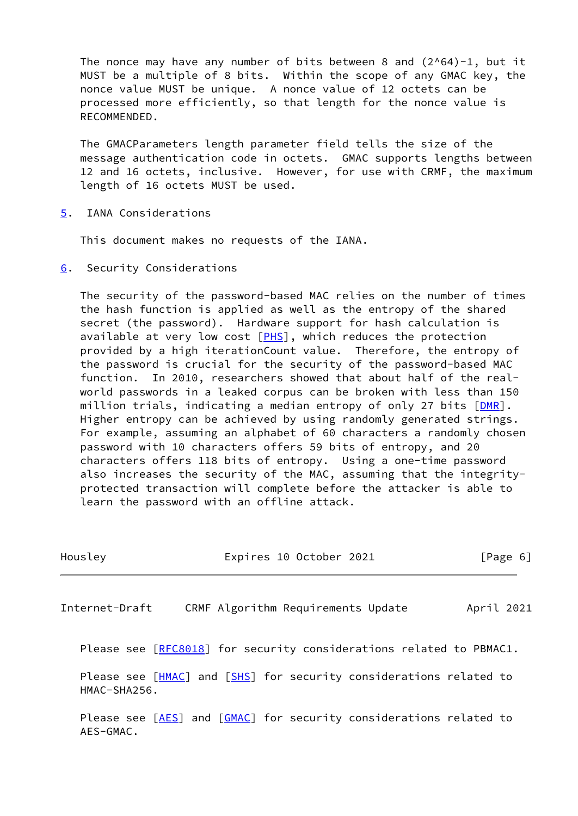The nonce may have any number of bits between 8 and  $(2^{0.64})-1$ , but it MUST be a multiple of 8 bits. Within the scope of any GMAC key, the nonce value MUST be unique. A nonce value of 12 octets can be processed more efficiently, so that length for the nonce value is RECOMMENDED.

 The GMACParameters length parameter field tells the size of the message authentication code in octets. GMAC supports lengths between 12 and 16 octets, inclusive. However, for use with CRMF, the maximum length of 16 octets MUST be used.

<span id="page-6-0"></span>[5](#page-6-0). IANA Considerations

This document makes no requests of the IANA.

<span id="page-6-1"></span>[6](#page-6-1). Security Considerations

 The security of the password-based MAC relies on the number of times the hash function is applied as well as the entropy of the shared secret (the password). Hardware support for hash calculation is available at very low cost  $[PHS]$  $[PHS]$ , which reduces the protection provided by a high iterationCount value. Therefore, the entropy of the password is crucial for the security of the password-based MAC function. In 2010, researchers showed that about half of the real world passwords in a leaked corpus can be broken with less than 150 million trials, indicating a median entropy of only 27 bits [\[DMR](#page-9-5)]. Higher entropy can be achieved by using randomly generated strings. For example, assuming an alphabet of 60 characters a randomly chosen password with 10 characters offers 59 bits of entropy, and 20 characters offers 118 bits of entropy. Using a one-time password also increases the security of the MAC, assuming that the integrity protected transaction will complete before the attacker is able to learn the password with an offline attack.

<span id="page-6-2"></span>

| Housley                                                                            |                                    | Expires 10 October 2021 |  |            | $\lceil \text{Page } 6 \rceil$ |
|------------------------------------------------------------------------------------|------------------------------------|-------------------------|--|------------|--------------------------------|
| Internet-Draft                                                                     | CRMF Algorithm Requirements Update |                         |  | April 2021 |                                |
| Please see [RFC8018] for security considerations related to PBMAC1.                |                                    |                         |  |            |                                |
| Please see [HMAC] and [SHS] for security considerations related to<br>HMAC-SHA256. |                                    |                         |  |            |                                |
| Please see [AES] and [GMAC] for security considerations related to<br>$AES-GMAC.$  |                                    |                         |  |            |                                |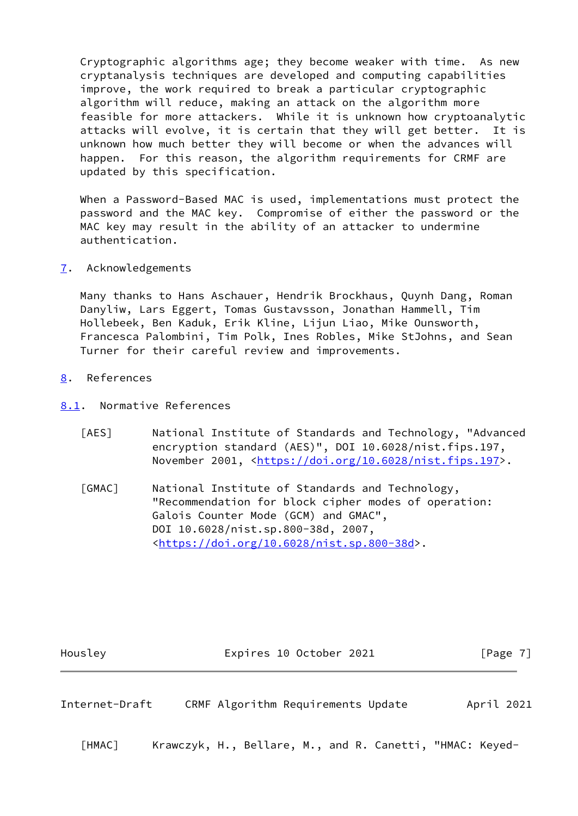Cryptographic algorithms age; they become weaker with time. As new cryptanalysis techniques are developed and computing capabilities improve, the work required to break a particular cryptographic algorithm will reduce, making an attack on the algorithm more feasible for more attackers. While it is unknown how cryptoanalytic attacks will evolve, it is certain that they will get better. It is unknown how much better they will become or when the advances will happen. For this reason, the algorithm requirements for CRMF are updated by this specification.

 When a Password-Based MAC is used, implementations must protect the password and the MAC key. Compromise of either the password or the MAC key may result in the ability of an attacker to undermine authentication.

<span id="page-7-0"></span>[7](#page-7-0). Acknowledgements

 Many thanks to Hans Aschauer, Hendrik Brockhaus, Quynh Dang, Roman Danyliw, Lars Eggert, Tomas Gustavsson, Jonathan Hammell, Tim Hollebeek, Ben Kaduk, Erik Kline, Lijun Liao, Mike Ounsworth, Francesca Palombini, Tim Polk, Ines Robles, Mike StJohns, and Sean Turner for their careful review and improvements.

- <span id="page-7-1"></span>[8](#page-7-1). References
- <span id="page-7-6"></span><span id="page-7-5"></span><span id="page-7-2"></span>[8.1](#page-7-2). Normative References
	- [AES] National Institute of Standards and Technology, "Advanced encryption standard (AES)", DOI 10.6028/nist.fips.197, November 2001, <[https://doi.org/10.6028/nist.fips.197>](https://doi.org/10.6028/nist.fips.197).
	- [GMAC] National Institute of Standards and Technology, "Recommendation for block cipher modes of operation: Galois Counter Mode (GCM) and GMAC", DOI 10.6028/nist.sp.800-38d, 2007, <[https://doi.org/10.6028/nist.sp.800-38d>](https://doi.org/10.6028/nist.sp.800-38d).

Housley **Expires 10 October 2021** [Page 7]

<span id="page-7-3"></span>Internet-Draft CRMF Algorithm Requirements Update April 2021

<span id="page-7-4"></span>[HMAC] Krawczyk, H., Bellare, M., and R. Canetti, "HMAC: Keyed-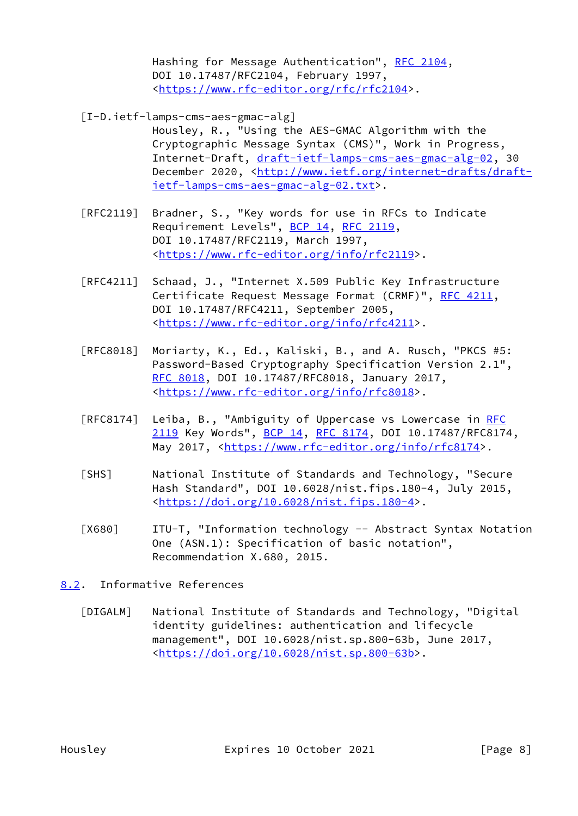Hashing for Message Authentication", [RFC 2104](https://datatracker.ietf.org/doc/pdf/rfc2104), DOI 10.17487/RFC2104, February 1997, <<https://www.rfc-editor.org/rfc/rfc2104>>.

- <span id="page-8-4"></span> [I-D.ietf-lamps-cms-aes-gmac-alg]
	- Housley, R., "Using the AES-GMAC Algorithm with the Cryptographic Message Syntax (CMS)", Work in Progress, Internet-Draft, [draft-ietf-lamps-cms-aes-gmac-alg-02,](https://datatracker.ietf.org/doc/pdf/draft-ietf-lamps-cms-aes-gmac-alg-02) 30 December 2020, <[http://www.ietf.org/internet-drafts/draft](http://www.ietf.org/internet-drafts/draft-ietf-lamps-cms-aes-gmac-alg-02.txt) [ietf-lamps-cms-aes-gmac-alg-02.txt>](http://www.ietf.org/internet-drafts/draft-ietf-lamps-cms-aes-gmac-alg-02.txt).
- [RFC2119] Bradner, S., "Key words for use in RFCs to Indicate Requirement Levels", [BCP 14](https://datatracker.ietf.org/doc/pdf/bcp14), [RFC 2119](https://datatracker.ietf.org/doc/pdf/rfc2119), DOI 10.17487/RFC2119, March 1997, <[https://www.rfc-editor.org/info/rfc2119>](https://www.rfc-editor.org/info/rfc2119).
- [RFC4211] Schaad, J., "Internet X.509 Public Key Infrastructure Certificate Request Message Format (CRMF)", [RFC 4211,](https://datatracker.ietf.org/doc/pdf/rfc4211) DOI 10.17487/RFC4211, September 2005, <[https://www.rfc-editor.org/info/rfc4211>](https://www.rfc-editor.org/info/rfc4211).
- [RFC8018] Moriarty, K., Ed., Kaliski, B., and A. Rusch, "PKCS #5: Password-Based Cryptography Specification Version 2.1", [RFC 8018,](https://datatracker.ietf.org/doc/pdf/rfc8018) DOI 10.17487/RFC8018, January 2017, <[https://www.rfc-editor.org/info/rfc8018>](https://www.rfc-editor.org/info/rfc8018).
- [RFC8174] Leiba, B., "Ambiguity of Uppercase vs Lowercase in [RFC](https://datatracker.ietf.org/doc/pdf/rfc2119) [2119](https://datatracker.ietf.org/doc/pdf/rfc2119) Key Words", [BCP 14](https://datatracker.ietf.org/doc/pdf/bcp14), [RFC 8174,](https://datatracker.ietf.org/doc/pdf/rfc8174) DOI 10.17487/RFC8174, May 2017, [<https://www.rfc-editor.org/info/rfc8174](https://www.rfc-editor.org/info/rfc8174)>.
- <span id="page-8-2"></span> [SHS] National Institute of Standards and Technology, "Secure Hash Standard", DOI 10.6028/nist.fips.180-4, July 2015, <[https://doi.org/10.6028/nist.fips.180-4>](https://doi.org/10.6028/nist.fips.180-4).
- <span id="page-8-1"></span> [X680] ITU-T, "Information technology -- Abstract Syntax Notation One (ASN.1): Specification of basic notation", Recommendation X.680, 2015.
- <span id="page-8-3"></span><span id="page-8-0"></span>[8.2](#page-8-0). Informative References
	- [DIGALM] National Institute of Standards and Technology, "Digital identity guidelines: authentication and lifecycle management", DOI 10.6028/nist.sp.800-63b, June 2017, <[https://doi.org/10.6028/nist.sp.800-63b>](https://doi.org/10.6028/nist.sp.800-63b).